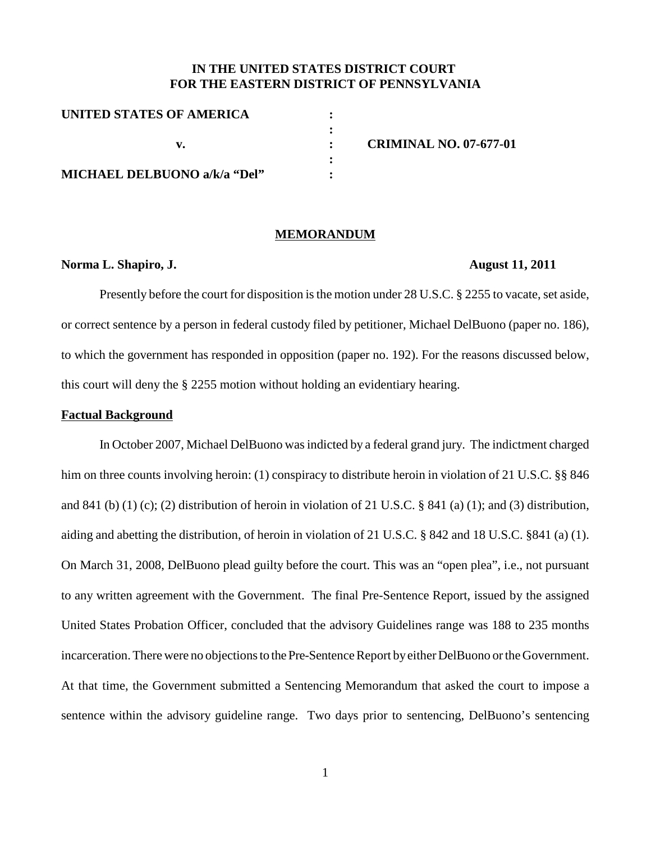# **IN THE UNITED STATES DISTRICT COURT FOR THE EASTERN DISTRICT OF PENNSYLVANIA**

| UNITED STATES OF AMERICA     |                               |
|------------------------------|-------------------------------|
|                              |                               |
|                              | <b>CRIMINAL NO. 07-677-01</b> |
|                              |                               |
| MICHAEL DELBUONO a/k/a "Del" |                               |

### **MEMORANDUM**

## **Norma L. Shapiro, J. August 11, 2011**

Presently before the court for disposition is the motion under 28 U.S.C.  $\S$  2255 to vacate, set aside, or correct sentence by a person in federal custody filed by petitioner, Michael DelBuono (paper no. 186), to which the government has responded in opposition (paper no. 192). For the reasons discussed below, this court will deny the § 2255 motion without holding an evidentiary hearing.

### **Factual Background**

In October 2007, Michael DelBuono wasindicted by a federal grand jury. The indictment charged him on three counts involving heroin: (1) conspiracy to distribute heroin in violation of 21 U.S.C. §§ 846 and 841 (b) (1) (c); (2) distribution of heroin in violation of 21 U.S.C. § 841 (a) (1); and (3) distribution, aiding and abetting the distribution, of heroin in violation of 21 U.S.C. § 842 and 18 U.S.C. §841 (a) (1). On March 31, 2008, DelBuono plead guilty before the court. This was an "open plea", i.e., not pursuant to any written agreement with the Government. The final Pre-Sentence Report, issued by the assigned United States Probation Officer, concluded that the advisory Guidelines range was 188 to 235 months incarceration. There were no objections to the Pre-Sentence Report by either DelBuono or the Government. At that time, the Government submitted a Sentencing Memorandum that asked the court to impose a sentence within the advisory guideline range. Two days prior to sentencing, DelBuono's sentencing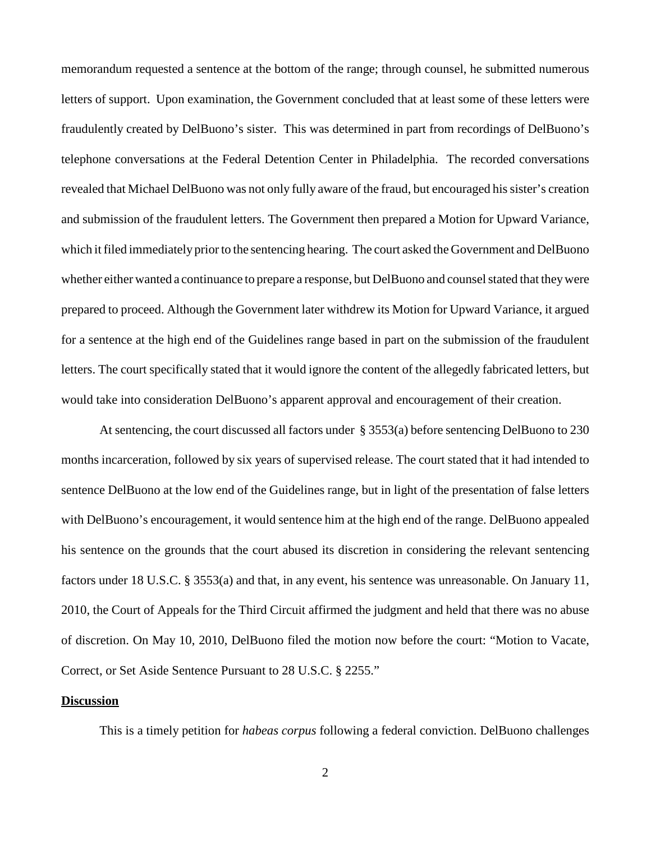memorandum requested a sentence at the bottom of the range; through counsel, he submitted numerous letters of support. Upon examination, the Government concluded that at least some of these letters were fraudulently created by DelBuono's sister. This was determined in part from recordings of DelBuono's telephone conversations at the Federal Detention Center in Philadelphia. The recorded conversations revealed that Michael DelBuono was not only fully aware of the fraud, but encouraged his sister's creation and submission of the fraudulent letters. The Government then prepared a Motion for Upward Variance, which it filed immediately prior to the sentencing hearing. The court asked the Government and DelBuono whether either wanted a continuance to prepare a response, but DelBuono and counsel stated that they were prepared to proceed. Although the Government later withdrew its Motion for Upward Variance, it argued for a sentence at the high end of the Guidelines range based in part on the submission of the fraudulent letters. The court specifically stated that it would ignore the content of the allegedly fabricated letters, but would take into consideration DelBuono's apparent approval and encouragement of their creation.

At sentencing, the court discussed all factors under § 3553(a) before sentencing DelBuono to 230 months incarceration, followed by six years of supervised release. The court stated that it had intended to sentence DelBuono at the low end of the Guidelines range, but in light of the presentation of false letters with DelBuono's encouragement, it would sentence him at the high end of the range. DelBuono appealed his sentence on the grounds that the court abused its discretion in considering the relevant sentencing factors under 18 U.S.C. § 3553(a) and that, in any event, his sentence was unreasonable. On January 11, 2010, the Court of Appeals for the Third Circuit affirmed the judgment and held that there was no abuse of discretion. On May 10, 2010, DelBuono filed the motion now before the court: "Motion to Vacate, Correct, or Set Aside Sentence Pursuant to 28 U.S.C. § 2255."

## **Discussion**

This is a timely petition for *habeas corpus* following a federal conviction. DelBuono challenges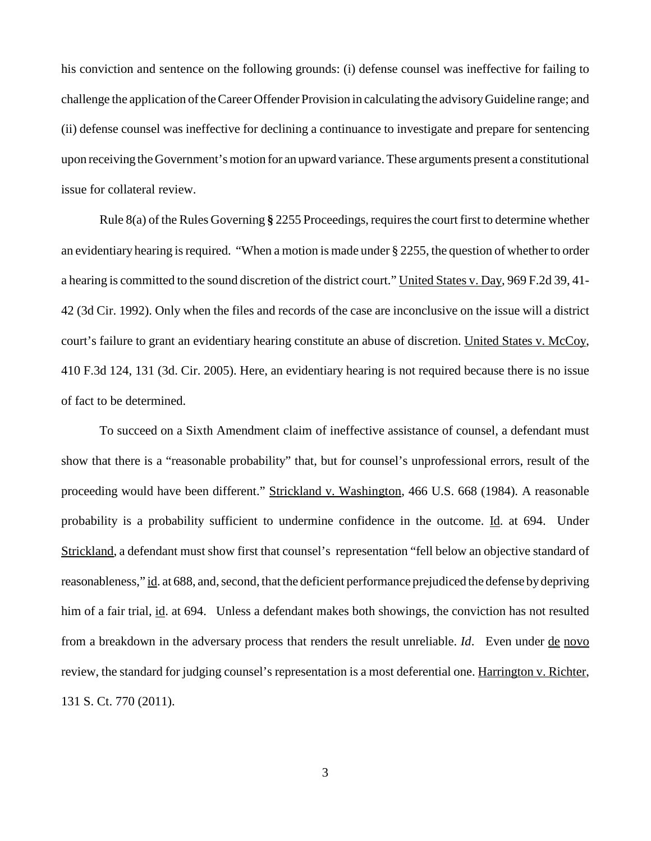his conviction and sentence on the following grounds: (i) defense counsel was ineffective for failing to challenge the application of the Career Offender Provision in calculating the advisory Guideline range; and (ii) defense counsel was ineffective for declining a continuance to investigate and prepare for sentencing upon receiving the Government's motion for an upward variance. These arguments present a constitutional issue for collateral review.

Rule 8(a) of the Rules Governing **§** 2255 Proceedings, requiresthe court first to determine whether an evidentiary hearing is required. "When a motion is made under  $\S$  2255, the question of whether to order a hearing is committed to the sound discretion of the district court." United States v. Day, 969 F.2d 39, 41- 42 (3d Cir. 1992). Only when the files and records of the case are inconclusive on the issue will a district court's failure to grant an evidentiary hearing constitute an abuse of discretion. United States v. McCoy, 410 F.3d 124, 131 (3d. Cir. 2005). Here, an evidentiary hearing is not required because there is no issue of fact to be determined.

To succeed on a Sixth Amendment claim of ineffective assistance of counsel, a defendant must show that there is a "reasonable probability" that, but for counsel's unprofessional errors, result of the proceeding would have been different." Strickland v. Washington, 466 U.S. 668 (1984). A reasonable probability is a probability sufficient to undermine confidence in the outcome. Id. at 694. Under Strickland, a defendant must show first that counsel's representation "fell below an objective standard of reasonableness," id. at 688, and, second, that the deficient performance prejudiced the defense by depriving him of a fair trial, id. at 694. Unless a defendant makes both showings, the conviction has not resulted from a breakdown in the adversary process that renders the result unreliable. *Id*. Even under de novo review, the standard for judging counsel's representation is a most deferential one. Harrington v. Richter, 131 S. Ct. 770 (2011).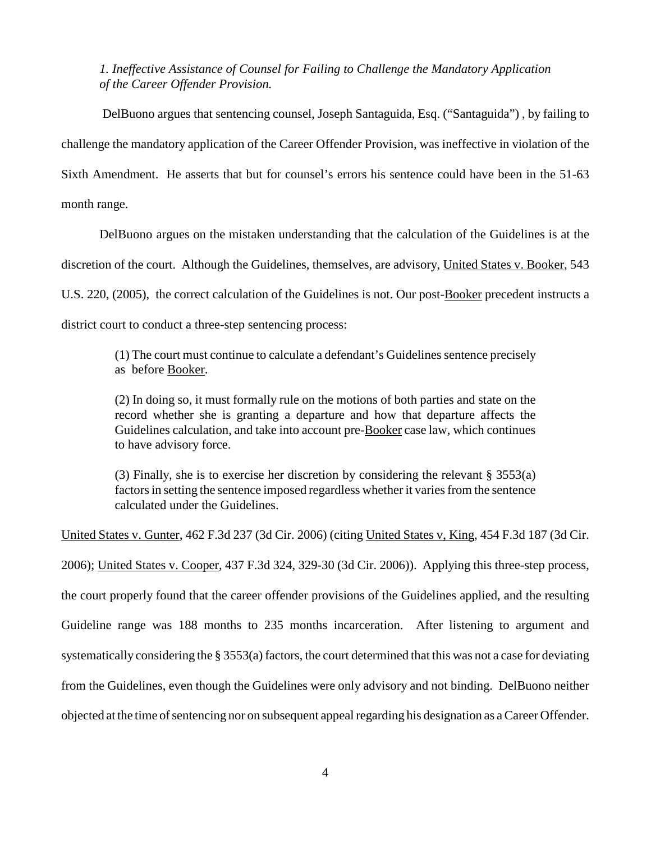*1. Ineffective Assistance of Counsel for Failing to Challenge the Mandatory Application of the Career Offender Provision.*

DelBuono argues that sentencing counsel, Joseph Santaguida, Esq. ("Santaguida") , by failing to challenge the mandatory application of the Career Offender Provision, was ineffective in violation of the Sixth Amendment. He asserts that but for counsel's errors his sentence could have been in the 51-63 month range.

DelBuono argues on the mistaken understanding that the calculation of the Guidelines is at the discretion of the court. Although the Guidelines, themselves, are advisory, United States v. Booker, 543 U.S. 220, (2005), the correct calculation of the Guidelines is not. Our post-Booker precedent instructs a district court to conduct a three-step sentencing process:

(1) The court must continue to calculate a defendant's Guidelines sentence precisely as before Booker.

(2) In doing so, it must formally rule on the motions of both parties and state on the record whether she is granting a departure and how that departure affects the Guidelines calculation, and take into account pre-Booker case law, which continues to have advisory force.

(3) Finally, she is to exercise her discretion by considering the relevant § 3553(a) factors in setting the sentence imposed regardless whether it varies from the sentence calculated under the Guidelines.

United States v. Gunter, 462 F.3d 237 (3d Cir. 2006) (citing United States v, King, 454 F.3d 187 (3d Cir. 2006); United States v. Cooper, 437 F.3d 324, 329-30 (3d Cir. 2006)). Applying this three-step process, the court properly found that the career offender provisions of the Guidelines applied, and the resulting Guideline range was 188 months to 235 months incarceration. After listening to argument and systematically considering the § 3553(a) factors, the court determined that this was not a case for deviating from the Guidelines, even though the Guidelines were only advisory and not binding. DelBuono neither objected at the time of sentencing nor on subsequent appeal regarding his designation as a Career Offender.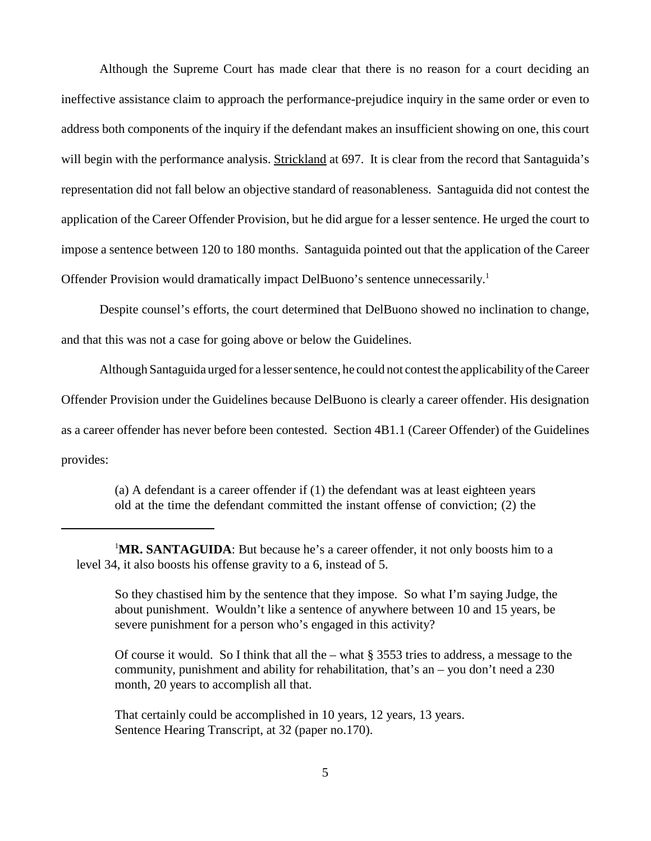Although the Supreme Court has made clear that there is no reason for a court deciding an ineffective assistance claim to approach the performance-prejudice inquiry in the same order or even to address both components of the inquiry if the defendant makes an insufficient showing on one, this court will begin with the performance analysis. Strickland at 697. It is clear from the record that Santaguida's representation did not fall below an objective standard of reasonableness. Santaguida did not contest the application of the Career Offender Provision, but he did argue for a lesser sentence. He urged the court to impose a sentence between 120 to 180 months. Santaguida pointed out that the application of the Career Offender Provision would dramatically impact DelBuono's sentence unnecessarily.<sup>1</sup>

Despite counsel's efforts, the court determined that DelBuono showed no inclination to change, and that this was not a case for going above or below the Guidelines.

Although Santaguida urged for a lessersentence, he could not contest the applicabilityoftheCareer Offender Provision under the Guidelines because DelBuono is clearly a career offender. His designation as a career offender has never before been contested. Section 4B1.1 (Career Offender) of the Guidelines provides:

> (a) A defendant is a career offender if (1) the defendant was at least eighteen years old at the time the defendant committed the instant offense of conviction; (2) the

Of course it would. So I think that all the – what § 3553 tries to address, a message to the community, punishment and ability for rehabilitation, that's an – you don't need a 230 month, 20 years to accomplish all that.

That certainly could be accomplished in 10 years, 12 years, 13 years. Sentence Hearing Transcript, at 32 (paper no.170).

<sup>&</sup>lt;sup>1</sup>MR. SANTAGUIDA: But because he's a career offender, it not only boosts him to a level 34, it also boosts his offense gravity to a 6, instead of 5.

So they chastised him by the sentence that they impose. So what I'm saying Judge, the about punishment. Wouldn't like a sentence of anywhere between 10 and 15 years, be severe punishment for a person who's engaged in this activity?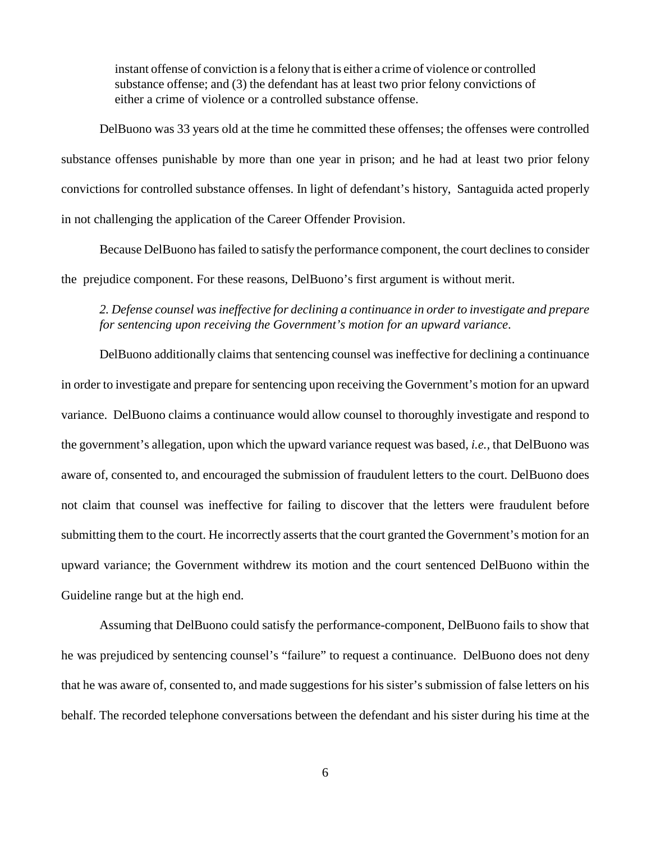instant offense of conviction is a felony that is either a crime of violence or controlled substance offense; and (3) the defendant has at least two prior felony convictions of either a crime of violence or a controlled substance offense.

DelBuono was 33 years old at the time he committed these offenses; the offenses were controlled substance offenses punishable by more than one year in prison; and he had at least two prior felony convictions for controlled substance offenses. In light of defendant's history, Santaguida acted properly in not challenging the application of the Career Offender Provision.

Because DelBuono hasfailed to satisfy the performance component, the court declinesto consider the prejudice component. For these reasons, DelBuono's first argument is without merit.

# *2. Defense counsel wasineffective for declining a continuance in orderto investigate and prepare for sentencing upon receiving the Government's motion for an upward variance*.

DelBuono additionally claims that sentencing counsel was ineffective for declining a continuance in order to investigate and prepare for sentencing upon receiving the Government's motion for an upward variance. DelBuono claims a continuance would allow counsel to thoroughly investigate and respond to the government's allegation, upon which the upward variance request was based, *i.e.,* that DelBuono was aware of, consented to, and encouraged the submission of fraudulent letters to the court. DelBuono does not claim that counsel was ineffective for failing to discover that the letters were fraudulent before submitting them to the court. He incorrectly asserts that the court granted the Government's motion for an upward variance; the Government withdrew its motion and the court sentenced DelBuono within the Guideline range but at the high end.

Assuming that DelBuono could satisfy the performance-component, DelBuono fails to show that he was prejudiced by sentencing counsel's "failure" to request a continuance. DelBuono does not deny that he was aware of, consented to, and made suggestions for his sister's submission of false letters on his behalf. The recorded telephone conversations between the defendant and his sister during his time at the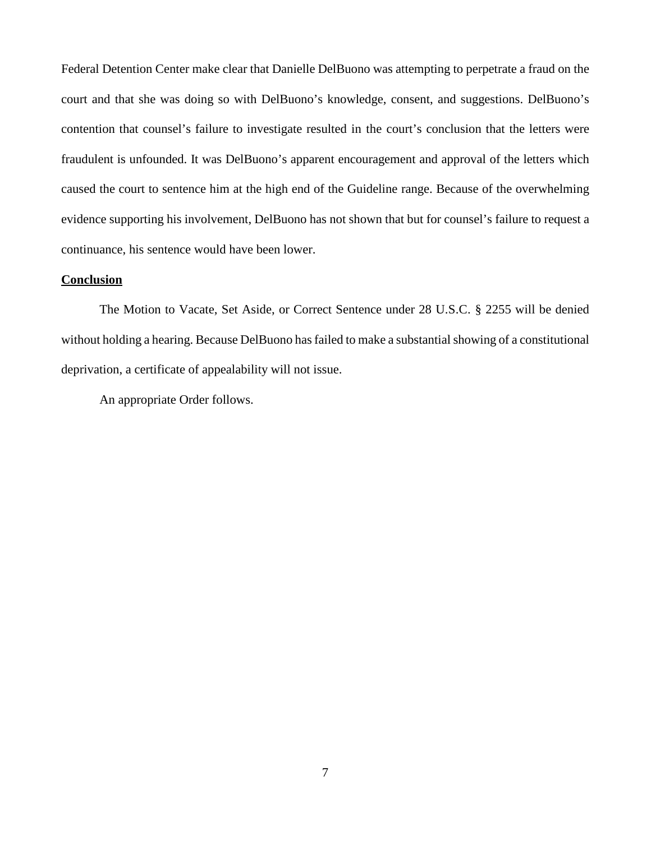Federal Detention Center make clear that Danielle DelBuono was attempting to perpetrate a fraud on the court and that she was doing so with DelBuono's knowledge, consent, and suggestions. DelBuono's contention that counsel's failure to investigate resulted in the court's conclusion that the letters were fraudulent is unfounded. It was DelBuono's apparent encouragement and approval of the letters which caused the court to sentence him at the high end of the Guideline range. Because of the overwhelming evidence supporting his involvement, DelBuono has not shown that but for counsel's failure to request a continuance, his sentence would have been lower.

## **Conclusion**

The Motion to Vacate, Set Aside, or Correct Sentence under 28 U.S.C. § 2255 will be denied without holding a hearing. Because DelBuono has failed to make a substantial showing of a constitutional deprivation, a certificate of appealability will not issue.

An appropriate Order follows.